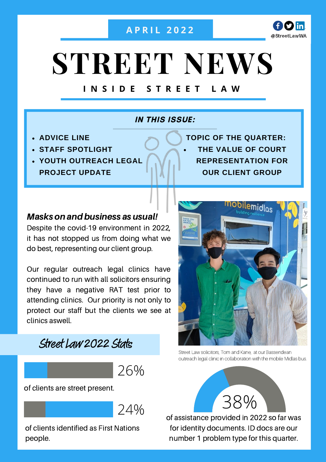#### **A P R I L 2 0 2 2**



# **STREET NEWS**

### **I N S I D E S T R E E T L A W**

#### **IN THIS ISSUE:**

- **ADVICE LINE**
- **STAFF SPOTLIGHT**
- **YOUTH OUTREACH LEGAL PROJECT UPDATE**

**THE VALUE OF COURT REPRESENTATION FOR OUR CLIENT GROUP TOPIC OF THE QUARTER:**

#### Masks on and business as usual!

Despite the covid-19 environment in 2022, it has not stopped us from doing what we do best, representing our client group.

Our regular outreach legal clinics have continued to run with all solicitors ensuring they have a negative RAT test prior to attending clinics. Our priority is not only to protect our staff but the clients we see at clinics aswell.



26%

of clients are street present.

24%

of clients identified as First Nations people.



Street Law solicitors, Tom and Kane, at our Bassendean outreach legal clinic in collaboration with the mobile Midlas bus.



of assistance provided in 2022 so far was for identity documents. ID docs are our number 1 problem type for this quarter.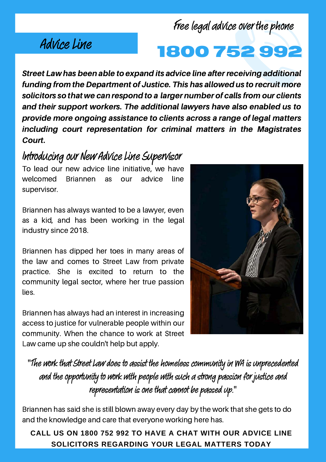## Advice Line

Free legal advice over the phone

# **1800 752 99**

Street Law has been able to expand its advice line after receiving additional funding from the Department of Justice. This has allowed us to recruit more solicitors so that we can respond to a larger number of calls from our clients and their support workers. The additional lawyers have also enabled us to provide more ongoing assistance to clients across a range of legal matters including court representation for criminal matters in the Magistrates Court.

## Introducing our New Advice Line Supervisor

To lead our new advice line initiative, we have welcomed Briannen as our advice line supervisor.

Briannen has always wanted to be a lawyer, even as a kid, and has been working in the legal industry since 2018.

Briannen has dipped her toes in many areas of the law and comes to Street Law from private practice. She is excited to return to the community legal sector, where her true passion lies.

Briannen has always had an interest in increasing access to justice for vulnerable people within our community. When the chance to work at Street Law came up she couldn't help but apply.



"The work that Street Law does to assist the homeless community in WA is unprecedented and the opportunity to work with people with such a strong passion for justice and representation is one that cannot be passed up."

Briannen has said she is still blown away every day by the work that she gets to do and the knowledge and care that everyone working here has.

**CALL US ON 1800 752 992 TO HAVE A CHAT WITH OUR ADVICE LINE SOLICITORS REGARDING YOUR LEGAL MATTERS TODAY**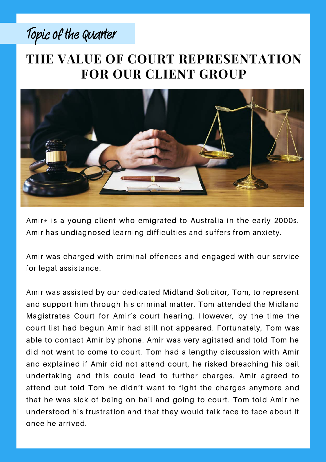# Topic of the Quarter

## **THE VALUE OF COURT REPRESENTATION FOR OUR CLIENT GROUP**



Amir $*$  is a young client who emigrated to Australia in the early 2000s. Amir has undiagnosed learning difficulties and suffers from anxiety.

Amir was charged with criminal offences and engaged with our service for legal assistance.

Amir was assisted by our dedicated Midland Solicitor, Tom, to represent and support him through his criminal matter. Tom attended the Midland Magistrates Court for Amir's court hearing. However, by the time the court list had begun Amir had still not appeared. Fortunately, Tom was able to contact Amir by phone. Amir was very agitated and told Tom he did not want to come to court. Tom had a lengthy discussion with Amir and explained if Amir did not attend court, he risked breaching his bail undertaking and this could lead to further charges. Amir agreed to attend but told Tom he didn't want to fight the charges anymore and that he was sick of being on bail and going to court. Tom told Amir he understood his frustration and that they would talk face to face about it once he arrived.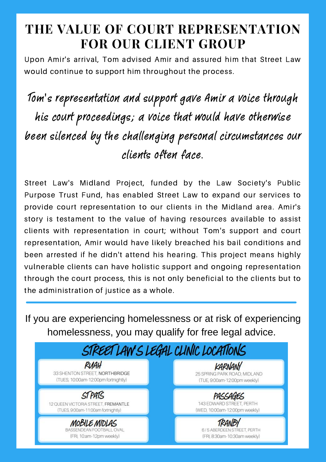## **THE VALUE OF COURT REPRESENTATION FOR OUR CLIENT GROUP**

Upon Amir's arrival, Tom advised Amir and assured him that Street Law would continue to support him throughout the process.

Tom's representation and support gave Amir a voice through his court proceedings; a voice that would have otherwise been silenced by the challenging personal circumstances our clients often face.

Street Law's Midland Project, funded by the Law Society's Public Purpose Trust Fund, has enabled Street Law to expand our services to provide court representation to our clients in the Midland area. Amir's story is testament to the value of having resources available to assist clients with representation in court; without Tom's support and court representation, Amir would have likely breached his bail conditions and been arrested if he didn't attend his hearing. This project means highly vulnerable clients can have holistic support and ongoing representation through the court process, this is not only beneficial to the clients but to the administration of justice as a whole.

If you are experiencing homelessness or at risk of experiencing homelessness, you may qualify for free legal advice.

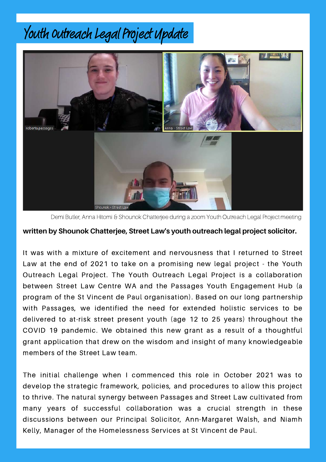# Youth Outreach Legal Project Update



Demi Butler, Anna Hitomi & Shounok Chatterjee during a zoom Youth Outreach Legal Project meeting

#### **written by Shounok Chatterjee, Street Law's youth outreach legal project solicitor.**

It was with a mixture of excitement and nervousness that I returned to Street Law at the end of 2021 to take on a promising new legal project - the Youth Outreach Legal Project. The Youth Outreach Legal Project is a collaboration between Street Law Centre WA and the Passages Youth Engagement Hub (a program of the St Vincent de Paul organisation). Based on our long partnership with Passages, we identified the need for extended holistic services to be delivered to at-risk street present youth (age 12 to 25 years) throughout the COVID 19 pandemic. We obtained this new grant as a result of a thoughtful grant application that drew on the wisdom and insight of many knowledgeable members of the Street Law team.

The initial challenge when I commenced this role in October 2021 was to develop the strategic framework, policies, and procedures to allow this project to thrive. The natural synergy between Passages and Street Law cultivated from many years of successful collaboration was a crucial strength in these discussions between our Principal Solicitor, Ann-Margaret Walsh, and Niamh Kelly, Manager of the Homelessness Services at St Vincent de Paul.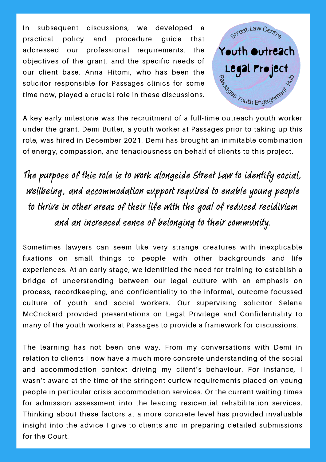In subsequent discussions, we developed a practical policy and procedure guide that addressed our professional requirements, the objectives of the grant, and the specific needs of our client base. Anna Hitomi, who has been the solicitor responsible for Passages clinics for some time now, played a crucial role in these discussions.



A key early milestone was the recruitment of a full-time outreach youth worker under the grant. Demi Butler, a youth worker at Passages prior to taking up this role, was hired in December 2021. Demi has brought an inimitable combination of energy, compassion, and tenaciousness on behalf of clients to this project.

The purpose of this role is to work alongside Street Law to identify social, wellbeing, and accommodation support required to enable young people to thrive in other areas of their life with the goal of reduced recidivism and an increased sense of belonging to their community.

Sometimes lawyers can seem like very strange creatures with inexplicable fixations on small things to people with other backgrounds and life experiences. At an early stage, we identified the need for training to establish a bridge of understanding between our legal culture with an emphasis on process, recordkeeping, and confidentiality to the informal, outcome focussed culture of youth and social workers. Our supervising solicitor Selena McCrickard provided presentations on Legal Privilege and Confidentiality to many of the youth workers at Passages to provide a framework for discussions.

The learning has not been one way. From my conversations with Demi in relation to clients I now have a much more concrete understanding of the social and accommodation context driving my client's behaviour. For instance, I wasn't aware at the time of the stringent curfew requirements placed on young people in particular crisis accommodation services. Or the current waiting times for admission assessment into the leading residential rehabilitation services. Thinking about these factors at a more concrete level has provided invaluable insight into the advice I give to clients and in preparing detailed submissions for the Court.